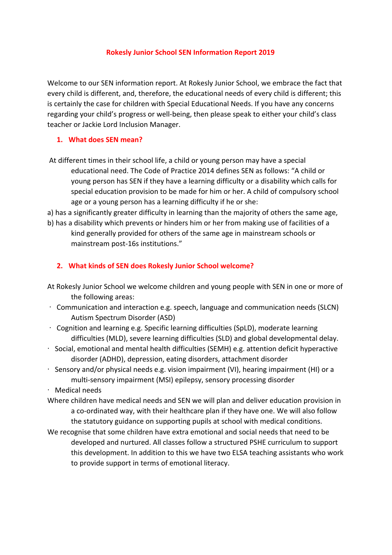#### **Rokesly Junior School SEN Information Report 2019**

Welcome to our SEN information report. At Rokesly Junior School, we embrace the fact that every child is different, and, therefore, the educational needs of every child is different; this is certainly the case for children with Special Educational Needs. If you have any concerns regarding your child's progress or well-being, then please speak to either your child's class teacher or Jackie Lord Inclusion Manager.

#### **1. What does SEN mean?**

- At different times in their school life, a child or young person may have a special educational need. The Code of Practice 2014 defines SEN as follows: "A child or young person has SEN if they have a learning difficulty or a disability which calls for special education provision to be made for him or her. A child of compulsory school age or a young person has a learning difficulty if he or she:
- a) has a significantly greater difficulty in learning than the majority of others the same age, b) has a disability which prevents or hinders him or her from making use of facilities of a kind generally provided for others of the same age in mainstream schools or mainstream post-16s institutions."

## **2. What kinds of SEN does Rokesly Junior School welcome?**

- At Rokesly Junior School we welcome children and young people with SEN in one or more of the following areas:
- · Communication and interaction e.g. speech, language and communication needs (SLCN) Autism Spectrum Disorder (ASD)
- · Cognition and learning e.g. Specific learning difficulties (SpLD), moderate learning difficulties (MLD), severe learning difficulties (SLD) and global developmental delay.
- · Social, emotional and mental health difficulties (SEMH) e.g. attention deficit hyperactive disorder (ADHD), depression, eating disorders, attachment disorder
- · Sensory and/or physical needs e.g. vision impairment (VI), hearing impairment (HI) or a multi-sensory impairment (MSI) epilepsy, sensory processing disorder
- · Medical needs
- Where children have medical needs and SEN we will plan and deliver education provision in a co-ordinated way, with their healthcare plan if they have one. We will also follow the statutory guidance on supporting pupils at school with medical conditions.
- We recognise that some children have extra emotional and social needs that need to be developed and nurtured. All classes follow a structured PSHE curriculum to support this development. In addition to this we have two ELSA teaching assistants who work to provide support in terms of emotional literacy.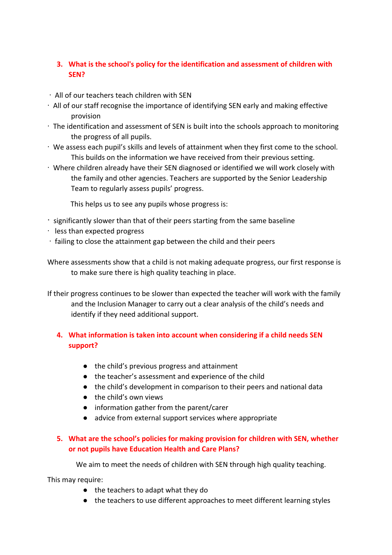# **3. What is the school's policy for the identification and assessment of children with SEN?**

- · All of our teachers teach children with SEN
- · All of our staff recognise the importance of identifying SEN early and making effective provision
- · The identification and assessment of SEN is built into the schools approach to monitoring the progress of all pupils.
- · We assess each pupil's skills and levels of attainment when they first come to the school. This builds on the information we have received from their previous setting.
- · Where children already have their SEN diagnosed or identified we will work closely with the family and other agencies. Teachers are supported by the Senior Leadership Team to regularly assess pupils' progress.

This helps us to see any pupils whose progress is:

- · significantly slower than that of their peers starting from the same baseline
- · less than expected progress
- · failing to close the attainment gap between the child and their peers

Where assessments show that a child is not making adequate progress, our first response is to make sure there is high quality teaching in place.

If their progress continues to be slower than expected the teacher will work with the family and the Inclusion Manager to carry out a clear analysis of the child's needs and identify if they need additional support.

# **4. What information is taken into account when considering if a child needs SEN support?**

- the child's previous progress and attainment
- the teacher's assessment and experience of the child
- the child's development in comparison to their peers and national data
- the child's own views
- information gather from the parent/carer
- advice from external support services where appropriate

## **5. What are the school's policies for making provision for children with SEN, whether or not pupils have Education Health and Care Plans?**

We aim to meet the needs of children with SEN through high quality teaching.

This may require:

- the teachers to adapt what they do
- the teachers to use different approaches to meet different learning styles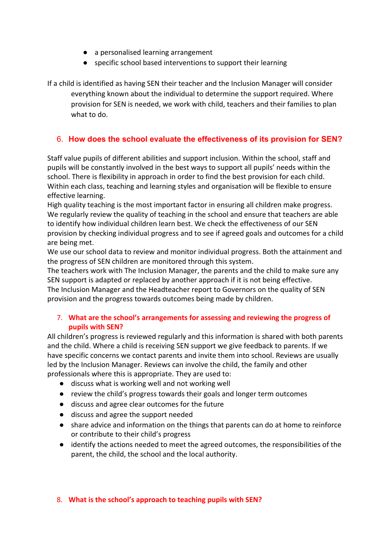- a personalised learning arrangement
- specific school based interventions to support their learning

If a child is identified as having SEN their teacher and the Inclusion Manager will consider everything known about the individual to determine the support required. Where provision for SEN is needed, we work with child, teachers and their families to plan what to do.

# 6. **How does the school evaluate the effectiveness of its provision for SEN?**

Staff value pupils of different abilities and support inclusion. Within the school, staff and pupils will be constantly involved in the best ways to support all pupils' needs within the school. There is flexibility in approach in order to find the best provision for each child. Within each class, teaching and learning styles and organisation will be flexible to ensure effective learning.

High quality teaching is the most important factor in ensuring all children make progress. We regularly review the quality of teaching in the school and ensure that teachers are able to identify how individual children learn best. We check the effectiveness of our SEN provision by checking individual progress and to see if agreed goals and outcomes for a child are being met.

We use our school data to review and monitor individual progress. Both the attainment and the progress of SEN children are monitored through this system.

The teachers work with The Inclusion Manager, the parents and the child to make sure any SEN support is adapted or replaced by another approach if it is not being effective. The Inclusion Manager and the Headteacher report to Governors on the quality of SEN provision and the progress towards outcomes being made by children.

## 7. **What are the school's arrangements for assessing and reviewing the progress of pupils with SEN?**

All children's progress is reviewed regularly and this information is shared with both parents and the child. Where a child is receiving SEN support we give feedback to parents. If we have specific concerns we contact parents and invite them into school. Reviews are usually led by the Inclusion Manager. Reviews can involve the child, the family and other professionals where this is appropriate. They are used to:

- discuss what is working well and not working well
- review the child's progress towards their goals and longer term outcomes
- discuss and agree clear outcomes for the future
- discuss and agree the support needed
- share advice and information on the things that parents can do at home to reinforce or contribute to their child's progress
- identify the actions needed to meet the agreed outcomes, the responsibilities of the parent, the child, the school and the local authority.

## 8. **What is the school's approach to teaching pupils with SEN?**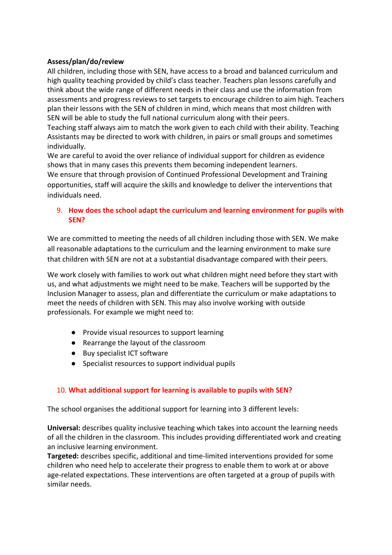## **Assess/plan/do/review**

All children, including those with SEN, have access to a broad and balanced curriculum and high quality teaching provided by child's class teacher. Teachers plan lessons carefully and think about the wide range of different needs in their class and use the information from assessments and progress reviews to set targets to encourage children to aim high. Teachers plan their lessons with the SEN of children in mind, which means that most children with SEN will be able to study the full national curriculum along with their peers.

Teaching staff always aim to match the work given to each child with their ability. Teaching Assistants may be directed to work with children, in pairs or small groups and sometimes individually.

We are careful to avoid the over reliance of individual support for children as evidence shows that in many cases this prevents them becoming independent learners.

We ensure that through provision of Continued Professional Development and Training opportunities, staff will acquire the skills and knowledge to deliver the interventions that individuals need.

## 9. **How does the school adapt the curriculum and learning environment for pupils with SEN?**

We are committed to meeting the needs of all children including those with SEN. We make all reasonable adaptations to the curriculum and the learning environment to make sure that children with SEN are not at a substantial disadvantage compared with their peers.

We work closely with families to work out what children might need before they start with us, and what adjustments we might need to be make. Teachers will be supported by the Inclusion Manager to assess, plan and differentiate the curriculum or make adaptations to meet the needs of children with SEN. This may also involve working with outside professionals. For example we might need to:

- Provide visual resources to support learning
- Rearrange the layout of the classroom
- Buy specialist ICT software
- Specialist resources to support individual pupils

## 10. **What additional support for learning is available to pupils with SEN?**

The school organises the additional support for learning into 3 different levels:

**Universal:** describes quality inclusive teaching which takes into account the learning needs of all the children in the classroom. This includes providing differentiated work and creating an inclusive learning environment.

**Targeted:** describes specific, additional and time-limited interventions provided for some children who need help to accelerate their progress to enable them to work at or above age-related expectations. These interventions are often targeted at a group of pupils with similar needs.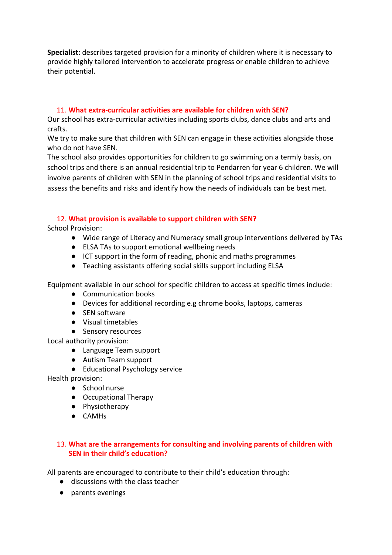**Specialist:** describes targeted provision for a minority of children where it is necessary to provide highly tailored intervention to accelerate progress or enable children to achieve their potential.

#### 11. **What extra-curricular activities are available for children with SEN?**

Our school has extra-curricular activities including sports clubs, dance clubs and arts and crafts.

We try to make sure that children with SEN can engage in these activities alongside those who do not have SEN.

The school also provides opportunities for children to go swimming on a termly basis, on school trips and there is an annual residential trip to Pendarren for year 6 children. We will involve parents of children with SEN in the planning of school trips and residential visits to assess the benefits and risks and identify how the needs of individuals can be best met.

## 12. **What provision is available to support children with SEN?**

School Provision:

- Wide range of Literacy and Numeracy small group interventions delivered by TAs
- ELSA TAs to support emotional wellbeing needs
- ICT support in the form of reading, phonic and maths programmes
- Teaching assistants offering social skills support including ELSA

Equipment available in our school for specific children to access at specific times include:

- Communication books
- Devices for additional recording e.g chrome books, laptops, cameras
- SEN software
- Visual timetables
- Sensory resources

Local authority provision:

- Language Team support
- Autism Team support
- Educational Psychology service

Health provision:

- School nurse
- Occupational Therapy
- Physiotherapy
- CAMHs

## 13. **What are the arrangements for consulting and involving parents of children with SEN in their child's education?**

All parents are encouraged to contribute to their child's education through:

- discussions with the class teacher
- parents evenings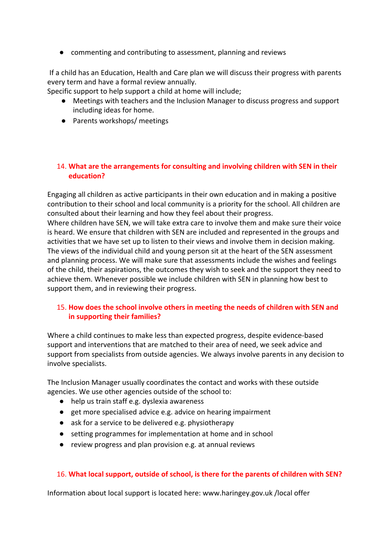● commenting and contributing to assessment, planning and reviews

If a child has an Education, Health and Care plan we will discuss their progress with parents every term and have a formal review annually.

Specific support to help support a child at home will include;

- Meetings with teachers and the Inclusion Manager to discuss progress and support including ideas for home.
- Parents workshops/ meetings

### 14. **What are the arrangements for consulting and involving children with SEN in their education?**

Engaging all children as active participants in their own education and in making a positive contribution to their school and local community is a priority for the school. All children are consulted about their learning and how they feel about their progress.

Where children have SEN, we will take extra care to involve them and make sure their voice is heard. We ensure that children with SEN are included and represented in the groups and activities that we have set up to listen to their views and involve them in decision making. The views of the individual child and young person sit at the heart of the SEN assessment and planning process. We will make sure that assessments include the wishes and feelings of the child, their aspirations, the outcomes they wish to seek and the support they need to achieve them. Whenever possible we include children with SEN in planning how best to support them, and in reviewing their progress.

## 15. **How does the school involve others in meeting the needs of children with SEN and in supporting their families?**

Where a child continues to make less than expected progress, despite evidence-based support and interventions that are matched to their area of need, we seek advice and support from specialists from outside agencies. We always involve parents in any decision to involve specialists.

The Inclusion Manager usually coordinates the contact and works with these outside agencies. We use other agencies outside of the school to:

- help us train staff e.g. dyslexia awareness
- get more specialised advice e.g. advice on hearing impairment
- ask for a service to be delivered e.g. physiotherapy
- setting programmes for implementation at home and in school
- review progress and plan provision e.g. at annual reviews

## 16. **What local support, outside of school, is there for the parents of children with SEN?**

Information about local support is located here: www.haringey.gov.uk /local offer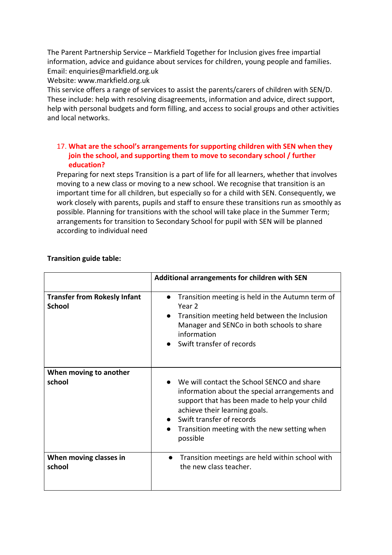The Parent Partnership Service – Markfield Together for Inclusion gives free impartial information, advice and guidance about services for children, young people and families. Email: enquiries@markfield.org.uk

Website: www.markfield.org.uk

This service offers a range of services to assist the parents/carers of children with SEN/D. These include: help with resolving disagreements, information and advice, direct support, help with personal budgets and form filling, and access to social groups and other activities and local networks.

## 17. **What are the school's arrangements for supporting children with SEN when they join the school, and supporting them to move to secondary school / further education?**

Preparing for next steps Transition is a part of life for all learners, whether that involves moving to a new class or moving to a new school. We recognise that transition is an important time for all children, but especially so for a child with SEN. Consequently, we work closely with parents, pupils and staff to ensure these transitions run as smoothly as possible. Planning for transitions with the school will take place in the Summer Term; arrangements for transition to Secondary School for pupil with SEN will be planned according to individual need

|                                                      | Additional arrangements for children with SEN                                                                                                                                                                                                                           |
|------------------------------------------------------|-------------------------------------------------------------------------------------------------------------------------------------------------------------------------------------------------------------------------------------------------------------------------|
| <b>Transfer from Rokesly Infant</b><br><b>School</b> | Transition meeting is held in the Autumn term of<br>$\bullet$<br>Year <sub>2</sub><br>Transition meeting held between the Inclusion<br>Manager and SENCo in both schools to share<br>information<br>Swift transfer of records                                           |
| When moving to another<br>school                     | We will contact the School SENCO and share<br>information about the special arrangements and<br>support that has been made to help your child<br>achieve their learning goals.<br>Swift transfer of records<br>Transition meeting with the new setting when<br>possible |
| When moving classes in<br>school                     | Transition meetings are held within school with<br>the new class teacher.                                                                                                                                                                                               |

#### **Transition guide table:**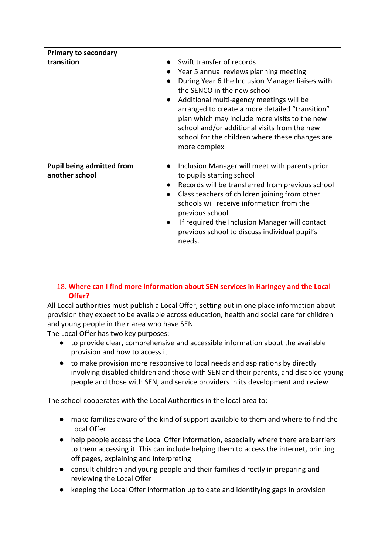| <b>Primary to secondary</b>                        |                                                                                                                                                                                                                                                                                                                                                                                                                                                                  |
|----------------------------------------------------|------------------------------------------------------------------------------------------------------------------------------------------------------------------------------------------------------------------------------------------------------------------------------------------------------------------------------------------------------------------------------------------------------------------------------------------------------------------|
| transition                                         | Swift transfer of records<br>Year 5 annual reviews planning meeting<br>$\bullet$<br>During Year 6 the Inclusion Manager liaises with<br>$\bullet$<br>the SENCO in the new school<br>Additional multi-agency meetings will be<br>$\bullet$<br>arranged to create a more detailed "transition"<br>plan which may include more visits to the new<br>school and/or additional visits from the new<br>school for the children where these changes are<br>more complex |
| <b>Pupil being admitted from</b><br>another school | Inclusion Manager will meet with parents prior<br>$\bullet$<br>to pupils starting school<br>Records will be transferred from previous school<br>$\bullet$<br>Class teachers of children joining from other<br>$\bullet$<br>schools will receive information from the<br>previous school<br>If required the Inclusion Manager will contact<br>$\bullet$<br>previous school to discuss individual pupil's<br>needs.                                                |

## 18. **Where can I find more information about SEN services in Haringey and the Local Offer?**

All Local authorities must publish a Local Offer, setting out in one place information about provision they expect to be available across education, health and social care for children and young people in their area who have SEN.

The Local Offer has two key purposes:

- to provide clear, comprehensive and accessible information about the available provision and how to access it
- to make provision more responsive to local needs and aspirations by directly involving disabled children and those with SEN and their parents, and disabled young people and those with SEN, and service providers in its development and review

The school cooperates with the Local Authorities in the local area to:

- make families aware of the kind of support available to them and where to find the Local Offer
- help people access the Local Offer information, especially where there are barriers to them accessing it. This can include helping them to access the internet, printing off pages, explaining and interpreting
- consult children and young people and their families directly in preparing and reviewing the Local Offer
- keeping the Local Offer information up to date and identifying gaps in provision